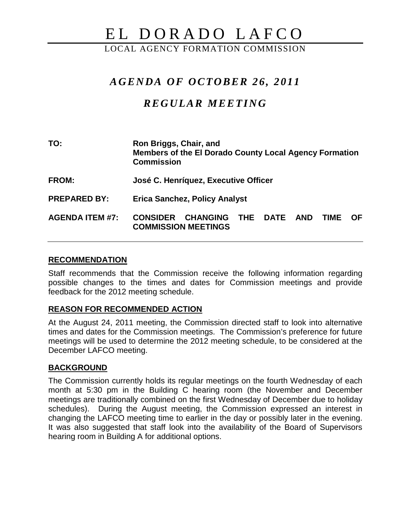# EL DORADO LAFCO

LOCAL AGENCY FORMATION COMMISSION

## *AGENDA OF OCTOBER 26 , 2011*

# *REGULAR MEETING*

| TO:                    | Ron Briggs, Chair, and<br>Members of the El Dorado County Local Agency Formation<br><b>Commission</b>     |
|------------------------|-----------------------------------------------------------------------------------------------------------|
| <b>FROM:</b>           | José C. Henríquez, Executive Officer                                                                      |
| <b>PREPARED BY:</b>    | <b>Erica Sanchez, Policy Analyst</b>                                                                      |
| <b>AGENDA ITEM #7:</b> | <b>CHANGING</b><br><b>CONSIDER</b><br>THE DATE<br>AND<br>OF.<br><b>TIME</b><br><b>COMMISSION MEETINGS</b> |

#### **RECOMMENDATION**

Staff recommends that the Commission receive the following information regarding possible changes to the times and dates for Commission meetings and provide feedback for the 2012 meeting schedule.

#### **REASON FOR RECOMMENDED ACTION**

At the August 24, 2011 meeting, the Commission directed staff to look into alternative times and dates for the Commission meetings. The Commission's preference for future meetings will be used to determine the 2012 meeting schedule, to be considered at the December LAFCO meeting.

## **BACKGROUND**

The Commission currently holds its regular meetings on the fourth Wednesday of each month at 5:30 pm in the Building C hearing room (the November and December meetings are traditionally combined on the first Wednesday of December due to holiday schedules). During the August meeting, the Commission expressed an interest in changing the LAFCO meeting time to earlier in the day or possibly later in the evening. It was also suggested that staff look into the availability of the Board of Supervisors hearing room in Building A for additional options.